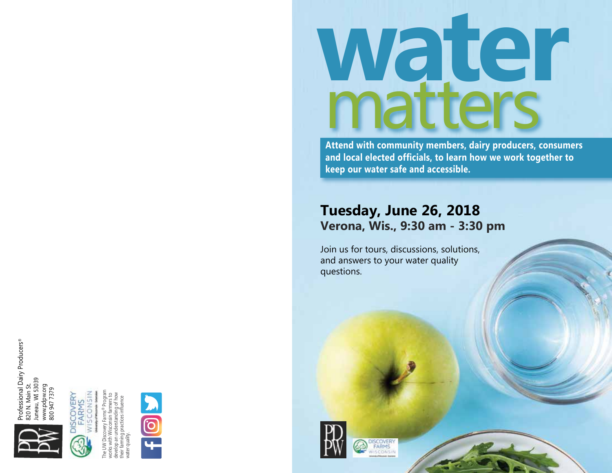Professional Dairy Producers®<br>820 N. Main St.<br>Juneau, WI 53039 Professional Dairy Producers® Juneau, WI 53039 www.pdpw.org 820 N. Main St.





The UW Discovery Farms® Program works with Wisconsin farmers to develop an understanding of how their farming practices influence water quality.



# **Water** Attend with community members, dairy producers,

**Attend with community members, dairy producers, consumers and local elected officials, to learn how we work together to keep our water safe and accessible.** 

## **Tuesday, June 26, 2018 Verona, Wis., 9:30 am - 3:30 pm**

Join us for tours, discussions, solutions, and answers to your water quality questions.



**DISCOVERY**